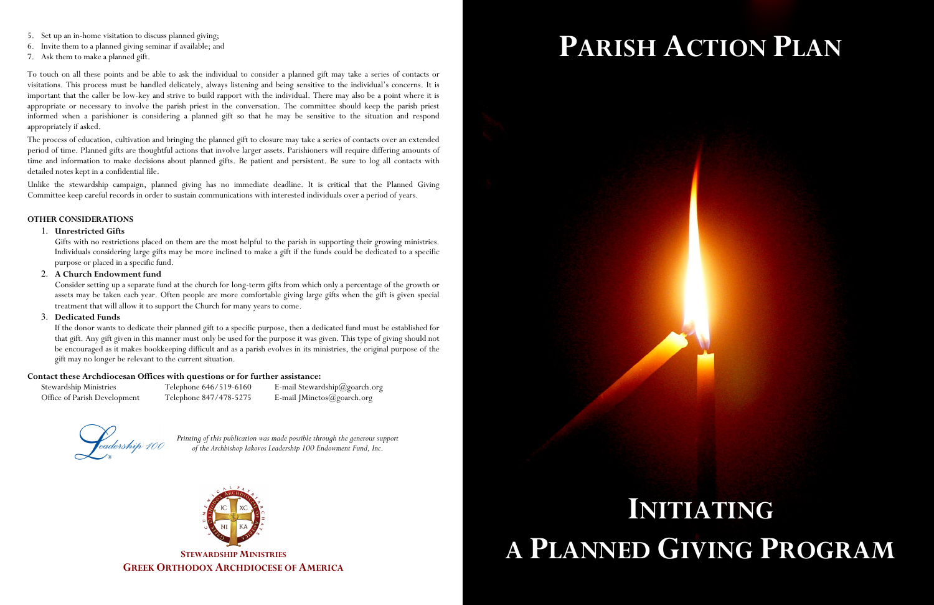- 
- 
- 

S. In up an in lanear similation to decise splanned princ, the up and the main similar to the up and the set of the set of the set of the set of the set of the set of the set of the set of the set of the set of the set of

*Printing of this publication was made possible through the generous support*  of the Archbishop Iakovos Leadership 100 Endowment Fund, Inc.



**STEWARDSHIP MINISTRIESGREEK ORTHODOX ARCHDIOCESE OF AMERICA**

## **PARISH ACTION PLAN**

# **INITIATING A PLANNED GIVING PROGRAM**